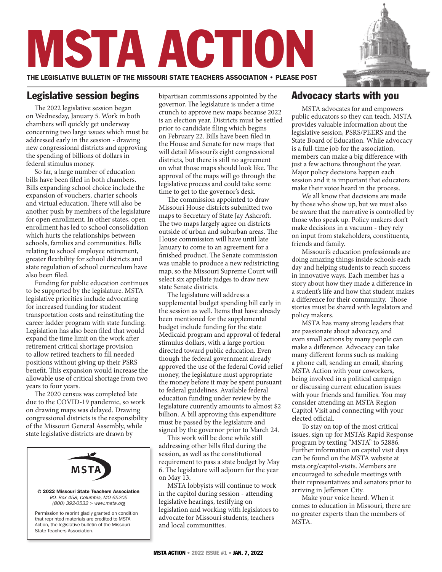# MSTA ACTION

THE LEGISLATIVE BULLETIN OF THE MISSOURI STATE TEACHERS ASSOCIATION • PLEASE POST

The 2022 legislative session began on Wednesday, January 5. Work in both chambers will quickly get underway concerning two large issues which must be addressed early in the session - drawing new congressional districts and approving the spending of billions of dollars in federal stimulus money.

So far, a large number of education bills have been filed in both chambers. Bills expanding school choice include the expansion of vouchers, charter schools and virtual education. There will also be another push by members of the legislature for open enrollment. In other states, open enrollment has led to school consolidation which hurts the relationships between schools, families and communities. Bills relating to school employee retirement, greater flexibility for school districts and state regulation of school curriculum have also been filed.

Funding for public education continues to be supported by the legislature. MSTA legislative priorities include advocating for increased funding for student transportation costs and reinstituting the career ladder program with state funding. Legislation has also been filed that would expand the time limit on the work after retirement critical shortage provision to allow retired teachers to fill needed positions without giving up their PSRS benefit. This expansion would increase the allowable use of critical shortage from two years to four years.

The 2020 census was completed late due to the COVID-19 pandemic, so work on drawing maps was delayed. Drawing congressional districts is the responsibility of the Missouri General Assembly, while state legislative districts are drawn by



**Legislative session begins** bipartisan commissions appointed by the governor. The legislature is under a time crunch to approve new maps because 2022 is an election year. Districts must be settled prior to candidate filing which begins on February 22. Bills have been filed in the House and Senate for new maps that will detail Missouri's eight congressional districts, but there is still no agreement on what those maps should look like. The approval of the maps will go through the legislative process and could take some time to get to the governor's desk.

> The commission appointed to draw Missouri House districts submitted two maps to Secretary of State Jay Ashcroft. The two maps largely agree on districts outside of urban and suburban areas. The House commission will have until late January to come to an agreement for a finished product. The Senate commission was unable to produce a new redistricting map, so the Missouri Supreme Court will select six appellate judges to draw new state Senate districts.

The legislature will address a supplemental budget spending bill early in the session as well. Items that have already been mentioned for the supplemental budget include funding for the state Medicaid program and approval of federal stimulus dollars, with a large portion directed toward public education. Even though the federal government already approved the use of the federal Covid relief money, the legislature must appropriate the money before it may be spent pursuant to federal guidelines. Available federal education funding under review by the legislature cuurently amounts to almost \$2 billion. A bill approving this expenditure must be passed by the legislature and signed by the governor prior to March 24.

This work will be done while still addressing other bills filed during the session, as well as the constitutional requirement to pass a state budget by May 6. The legislature will adjourn for the year on May 13.

MSTA lobbyists will continue to work in the capitol during session - attending legislative hearings, testifying on legislation and working with legislators to advocate for Missouri students, teachers and local communities.

MSTA ACTION • 2022 ISSUE #1 • JAN. 7, 2022

# Advocacy starts with you

MSTA advocates for and empowers public educators so they can teach. MSTA provides valuable information about the legislative session, PSRS/PEERS and the State Board of Education. While advocacy is a full-time job for the association, members can make a big difference with just a few actions throughout the year. Major policy decisions happen each session and it is important that educators make their voice heard in the process.

We all know that decisions are made by those who show up, but we must also be aware that the narrative is controlled by those who speak up. Policy makers don't make decisions in a vacuum - they rely on input from stakeholders, constituents, friends and family.

Missouri's education professionals are doing amazing things inside schools each day and helping students to reach success in innovative ways. Each member has a story about how they made a difference in a student's life and how that student makes a difference for their community. Those stories must be shared with legislators and policy makers.

MSTA has many strong leaders that are passionate about advocacy, and even small actions by many people can make a difference. Advocacy can take many different forms such as making a phone call, sending an email, sharing MSTA Action with your coworkers, being involved in a political campaign or discussing current education issues with your friends and families. You may consider attending an MSTA Region Capitol Visit and connecting with your elected official.

To stay on top of the most critical issues, sign up for MSTA's Rapid Response program by texting "MSTA" to 52886. Further information on capitol visit days can be found on the MSTA website at msta.org/capitol-visits. Members are encouraged to schedule meetings with their representatives and senators prior to arriving in Jefferson City.

Make your voice heard. When it comes to education in Missouri, there are no greater experts than the members of MSTA.